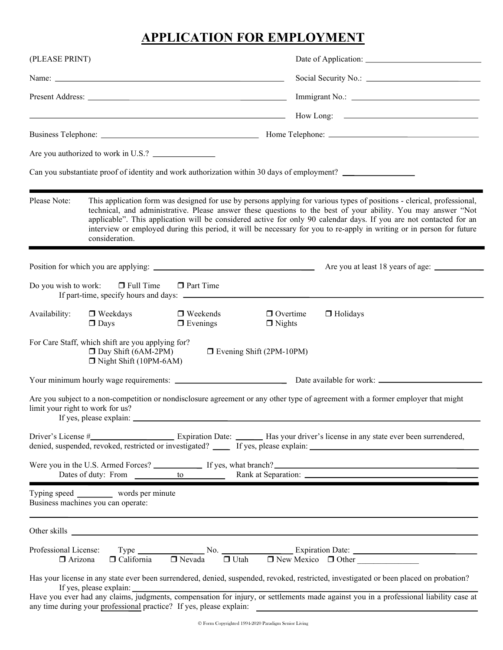# **APPLICATION FOR EMPLOYMENT**

| (PLEASE PRINT)                          |                                                                                                                     |                                                                                                                                                                                                                               |                                   |                                                                                                                                                                                                                                                                                                                                                                                                                                                                                         |
|-----------------------------------------|---------------------------------------------------------------------------------------------------------------------|-------------------------------------------------------------------------------------------------------------------------------------------------------------------------------------------------------------------------------|-----------------------------------|-----------------------------------------------------------------------------------------------------------------------------------------------------------------------------------------------------------------------------------------------------------------------------------------------------------------------------------------------------------------------------------------------------------------------------------------------------------------------------------------|
|                                         |                                                                                                                     |                                                                                                                                                                                                                               |                                   |                                                                                                                                                                                                                                                                                                                                                                                                                                                                                         |
|                                         |                                                                                                                     | Present Address: Universe of the Second Second Second Second Second Second Second Second Second Second Second Second Second Second Second Second Second Second Second Second Second Second Second Second Second Second Second |                                   |                                                                                                                                                                                                                                                                                                                                                                                                                                                                                         |
|                                         |                                                                                                                     | <u> 1989 - Johann Stoff, deutscher Stoff, der Stoff, der Stoff, der Stoff, der Stoff, der Stoff, der Stoff, der S</u>                                                                                                         |                                   | How Long:                                                                                                                                                                                                                                                                                                                                                                                                                                                                               |
|                                         |                                                                                                                     |                                                                                                                                                                                                                               |                                   |                                                                                                                                                                                                                                                                                                                                                                                                                                                                                         |
|                                         |                                                                                                                     |                                                                                                                                                                                                                               |                                   |                                                                                                                                                                                                                                                                                                                                                                                                                                                                                         |
|                                         |                                                                                                                     |                                                                                                                                                                                                                               |                                   | Can you substantiate proof of identity and work authorization within 30 days of employment?                                                                                                                                                                                                                                                                                                                                                                                             |
| Please Note:                            | consideration.                                                                                                      |                                                                                                                                                                                                                               |                                   | This application form was designed for use by persons applying for various types of positions - clerical, professional,<br>technical, and administrative. Please answer these questions to the best of your ability. You may answer "Not<br>applicable". This application will be considered active for only 90 calendar days. If you are not contacted for an<br>interview or employed during this period, it will be necessary for you to re-apply in writing or in person for future |
|                                         |                                                                                                                     | Position for which you are applying:                                                                                                                                                                                          |                                   |                                                                                                                                                                                                                                                                                                                                                                                                                                                                                         |
|                                         | Do you wish to work: $\Box$ Full Time                                                                               | <b>D</b> Part Time                                                                                                                                                                                                            |                                   |                                                                                                                                                                                                                                                                                                                                                                                                                                                                                         |
| Availability:                           | □ Weekdays<br>$\Box$ Days                                                                                           | $\Box$ Weekends<br>$\Box$ Evenings                                                                                                                                                                                            | $\Box$ Overtime<br>$\Box$ Nights  | □ Holidays                                                                                                                                                                                                                                                                                                                                                                                                                                                                              |
|                                         | For Care Staff, which shift are you applying for?<br>$\square$ Day Shift (6AM-2PM)<br>$\Box$ Night Shift (10PM-6AM) |                                                                                                                                                                                                                               | <b>D</b> Evening Shift (2PM-10PM) |                                                                                                                                                                                                                                                                                                                                                                                                                                                                                         |
|                                         |                                                                                                                     |                                                                                                                                                                                                                               |                                   |                                                                                                                                                                                                                                                                                                                                                                                                                                                                                         |
|                                         | limit your right to work for us?<br>If yes, please explain:                                                         |                                                                                                                                                                                                                               |                                   | Are you subject to a non-competition or nondisclosure agreement or any other type of agreement with a former employer that might                                                                                                                                                                                                                                                                                                                                                        |
|                                         |                                                                                                                     |                                                                                                                                                                                                                               |                                   | denied, suspended, revoked, restricted or investigated? _____ If yes, please explain: ________________________                                                                                                                                                                                                                                                                                                                                                                          |
|                                         |                                                                                                                     |                                                                                                                                                                                                                               |                                   |                                                                                                                                                                                                                                                                                                                                                                                                                                                                                         |
|                                         | Typing speed ___________ words per minute<br>Business machines you can operate:                                     |                                                                                                                                                                                                                               |                                   |                                                                                                                                                                                                                                                                                                                                                                                                                                                                                         |
|                                         |                                                                                                                     |                                                                                                                                                                                                                               |                                   |                                                                                                                                                                                                                                                                                                                                                                                                                                                                                         |
| Professional License:<br>$\Box$ Arizona |                                                                                                                     |                                                                                                                                                                                                                               |                                   | $\Box$ Type $\Box$ No. $\Box$ Expiration Date: $\Box$ California $\Box$ Nevada $\Box$ Utah $\Box$ New Mexico $\Box$ Other<br>$\Box$ New Mexico $\Box$ Other                                                                                                                                                                                                                                                                                                                             |
|                                         |                                                                                                                     |                                                                                                                                                                                                                               |                                   | Has your license in any state ever been surrendered, denied, suspended, revoked, restricted, investigated or been placed on probation?<br>If yes, please explain: If yes, please explain: Judgments, compensation for injury, or settlements made against you in a professional liability case at                                                                                                                                                                                       |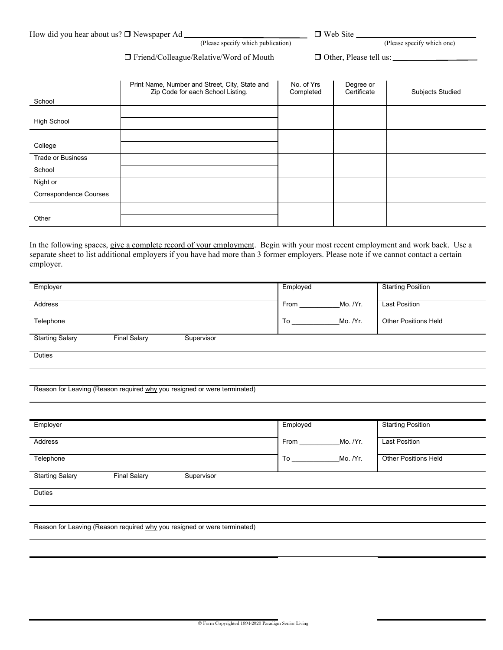| How did you hear about us? □ Newspaper Ad _ |                                    | $\Box$ Web Site |                            |
|---------------------------------------------|------------------------------------|-----------------|----------------------------|
|                                             | (Please specify which publication) |                 | (Please specify which one) |

### □ Friend/Colleague/Relative/Word of Mouth □ Other, Please tell us:

| School                        | Print Name, Number and Street, City, State and<br>Zip Code for each School Listing. | No. of Yrs<br>Completed | Degree or<br>Certificate | <b>Subjects Studied</b> |
|-------------------------------|-------------------------------------------------------------------------------------|-------------------------|--------------------------|-------------------------|
| <b>High School</b>            |                                                                                     |                         |                          |                         |
| College                       |                                                                                     |                         |                          |                         |
| <b>Trade or Business</b>      |                                                                                     |                         |                          |                         |
| School                        |                                                                                     |                         |                          |                         |
| Night or                      |                                                                                     |                         |                          |                         |
| <b>Correspondence Courses</b> |                                                                                     |                         |                          |                         |
| Other                         |                                                                                     |                         |                          |                         |

In the following spaces, give a complete record of your employment. Begin with your most recent employment and work back. Use a separate sheet to list additional employers if you have had more than 3 former employers. Please note if we cannot contact a certain employer.

| Employer               |                     |            | Employed |          | <b>Starting Position</b>    |
|------------------------|---------------------|------------|----------|----------|-----------------------------|
| Address                |                     |            | From     | Mo. /Yr. | <b>Last Position</b>        |
| Telephone              |                     |            | To       | Mo. /Yr. | <b>Other Positions Held</b> |
| <b>Starting Salary</b> | <b>Final Salary</b> | Supervisor |          |          |                             |
| <b>Duties</b>          |                     |            |          |          |                             |

#### Reason for Leaving (Reason required why you resigned or were terminated)

| Employer        |                     |            | Employed |          | <b>Starting Position</b>    |
|-----------------|---------------------|------------|----------|----------|-----------------------------|
| Address         |                     |            | From     | Mo. /Yr. | <b>Last Position</b>        |
| Telephone       |                     |            | To       | Mo. /Yr. | <b>Other Positions Held</b> |
| Starting Salary | <b>Final Salary</b> | Supervisor |          |          |                             |
| <b>Duties</b>   |                     |            |          |          |                             |
|                 |                     |            |          |          |                             |

Reason for Leaving (Reason required why you resigned or were terminated)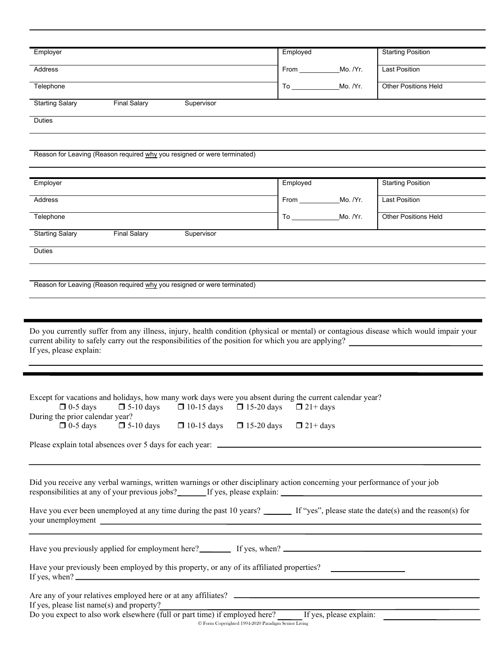| Employer                                                                                                                                                                                                                                                                                                                                                                                                                                                                                                                                                                                                                                                                                                                                                                                                                                                              | Employed                          | <b>Starting Position</b>    |
|-----------------------------------------------------------------------------------------------------------------------------------------------------------------------------------------------------------------------------------------------------------------------------------------------------------------------------------------------------------------------------------------------------------------------------------------------------------------------------------------------------------------------------------------------------------------------------------------------------------------------------------------------------------------------------------------------------------------------------------------------------------------------------------------------------------------------------------------------------------------------|-----------------------------------|-----------------------------|
| <b>Address</b>                                                                                                                                                                                                                                                                                                                                                                                                                                                                                                                                                                                                                                                                                                                                                                                                                                                        | From ____________________Mo. /Yr. | <b>Last Position</b>        |
| Telephone                                                                                                                                                                                                                                                                                                                                                                                                                                                                                                                                                                                                                                                                                                                                                                                                                                                             | Mo. /Yr.                          | <b>Other Positions Held</b> |
| <b>Starting Salary</b><br><b>Final Salary</b><br>Supervisor                                                                                                                                                                                                                                                                                                                                                                                                                                                                                                                                                                                                                                                                                                                                                                                                           |                                   |                             |
| <b>Duties</b>                                                                                                                                                                                                                                                                                                                                                                                                                                                                                                                                                                                                                                                                                                                                                                                                                                                         |                                   |                             |
|                                                                                                                                                                                                                                                                                                                                                                                                                                                                                                                                                                                                                                                                                                                                                                                                                                                                       |                                   |                             |
| Reason for Leaving (Reason required why you resigned or were terminated)                                                                                                                                                                                                                                                                                                                                                                                                                                                                                                                                                                                                                                                                                                                                                                                              |                                   |                             |
|                                                                                                                                                                                                                                                                                                                                                                                                                                                                                                                                                                                                                                                                                                                                                                                                                                                                       |                                   |                             |
| Employer                                                                                                                                                                                                                                                                                                                                                                                                                                                                                                                                                                                                                                                                                                                                                                                                                                                              | Employed                          | <b>Starting Position</b>    |
| Address                                                                                                                                                                                                                                                                                                                                                                                                                                                                                                                                                                                                                                                                                                                                                                                                                                                               | From ____________________Mo. /Yr. | <b>Last Position</b>        |
| Telephone                                                                                                                                                                                                                                                                                                                                                                                                                                                                                                                                                                                                                                                                                                                                                                                                                                                             |                                   | <b>Other Positions Held</b> |
| <b>Starting Salary</b><br><b>Final Salary</b><br>Supervisor                                                                                                                                                                                                                                                                                                                                                                                                                                                                                                                                                                                                                                                                                                                                                                                                           |                                   |                             |
| <b>Duties</b>                                                                                                                                                                                                                                                                                                                                                                                                                                                                                                                                                                                                                                                                                                                                                                                                                                                         |                                   |                             |
|                                                                                                                                                                                                                                                                                                                                                                                                                                                                                                                                                                                                                                                                                                                                                                                                                                                                       |                                   |                             |
| Reason for Leaving (Reason required why you resigned or were terminated)                                                                                                                                                                                                                                                                                                                                                                                                                                                                                                                                                                                                                                                                                                                                                                                              |                                   |                             |
|                                                                                                                                                                                                                                                                                                                                                                                                                                                                                                                                                                                                                                                                                                                                                                                                                                                                       |                                   |                             |
|                                                                                                                                                                                                                                                                                                                                                                                                                                                                                                                                                                                                                                                                                                                                                                                                                                                                       |                                   |                             |
| Do you currently suffer from any illness, injury, health condition (physical or mental) or contagious disease which would impair your                                                                                                                                                                                                                                                                                                                                                                                                                                                                                                                                                                                                                                                                                                                                 |                                   |                             |
| current ability to safely carry out the responsibilities of the position for which you are applying?<br>If yes, please explain:                                                                                                                                                                                                                                                                                                                                                                                                                                                                                                                                                                                                                                                                                                                                       |                                   |                             |
| Except for vacations and holidays, how many work days were you absent during the current calendar year?<br>$\Box$ 0-5 days $\Box$ 5-10 days $\Box$ 10-15 days $\Box$ 15-20 days $\Box$ 21+ days                                                                                                                                                                                                                                                                                                                                                                                                                                                                                                                                                                                                                                                                       |                                   |                             |
| During the prior calendar year?                                                                                                                                                                                                                                                                                                                                                                                                                                                                                                                                                                                                                                                                                                                                                                                                                                       |                                   |                             |
| $\Box$ 5-10 days<br>$\Box$ 0-5 days<br>$\Box$ 10-15 days $\Box$ 15-20 days                                                                                                                                                                                                                                                                                                                                                                                                                                                                                                                                                                                                                                                                                                                                                                                            | $\Box$ 21+ days                   |                             |
|                                                                                                                                                                                                                                                                                                                                                                                                                                                                                                                                                                                                                                                                                                                                                                                                                                                                       |                                   |                             |
| Did you receive any verbal warnings, written warnings or other disciplinary action concerning your performance of your job<br>responsibilities at any of your previous jobs? _______ If yes, please explain: _____________________                                                                                                                                                                                                                                                                                                                                                                                                                                                                                                                                                                                                                                    |                                   |                             |
|                                                                                                                                                                                                                                                                                                                                                                                                                                                                                                                                                                                                                                                                                                                                                                                                                                                                       |                                   |                             |
| <u> 1980 - An t-Alban ann an t-Alban ann an t-Alban ann an t-Alban ann an t-Alban ann an t-Alban ann an t-Alban a</u>                                                                                                                                                                                                                                                                                                                                                                                                                                                                                                                                                                                                                                                                                                                                                 |                                   |                             |
| Have you ever been unemployed at any time during the past 10 years? If "yes", please state the date(s) and the reason(s) for<br>your unemployment example and the contract of the contract of the contract of the contract of the contract of the contract of the contract of the contract of the contract of the contract of the contract of the contract of<br>Have your previously been employed by this property, or any of its affiliated properties?<br>If yes, when? $\frac{1}{\sqrt{1-\frac{1}{2}}\sqrt{1-\frac{1}{2}}\sqrt{1-\frac{1}{2}}\sqrt{1-\frac{1}{2}}\sqrt{1-\frac{1}{2}}\sqrt{1-\frac{1}{2}}\sqrt{1-\frac{1}{2}}\sqrt{1-\frac{1}{2}}\sqrt{1-\frac{1}{2}}\sqrt{1-\frac{1}{2}}\sqrt{1-\frac{1}{2}}\sqrt{1-\frac{1}{2}}\sqrt{1-\frac{1}{2}}\sqrt{1-\frac{1}{2}}\sqrt{1-\frac{1}{2}}\sqrt{1-\frac{1}{2}}\sqrt{1-\frac{1}{2}}\sqrt{1-\frac{1}{2}}\sqrt{$ |                                   |                             |
| If yes, please list name(s) and property?                                                                                                                                                                                                                                                                                                                                                                                                                                                                                                                                                                                                                                                                                                                                                                                                                             |                                   |                             |